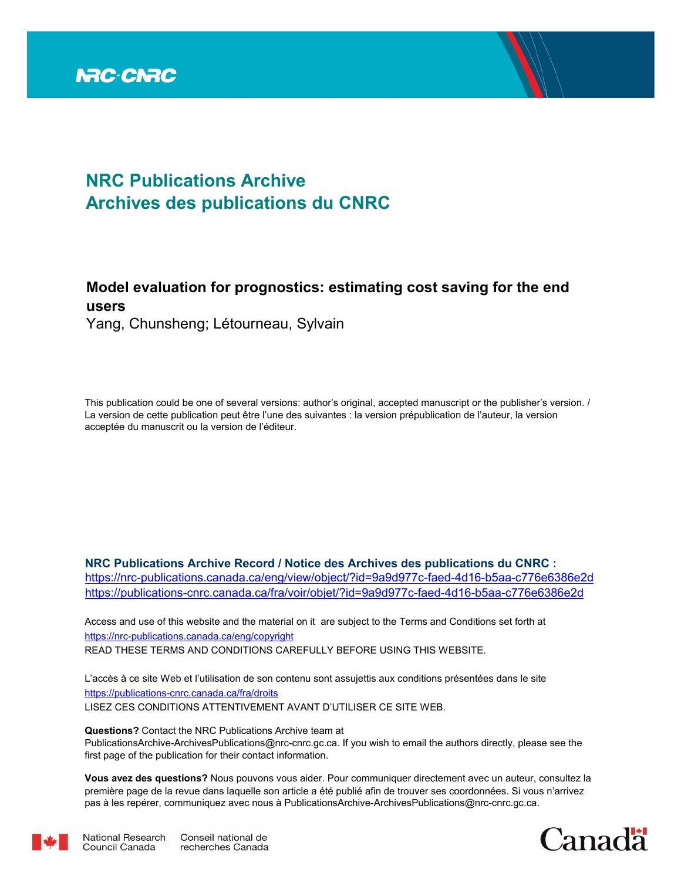

# **NRC Publications Archive Archives des publications du CNRC**

## **Model evaluation for prognostics: estimating cost saving for the end users**

Yang, Chunsheng; Létourneau, Sylvain

This publication could be one of several versions: author's original, accepted manuscript or the publisher's version. / La version de cette publication peut être l'une des suivantes : la version prépublication de l'auteur, la version acceptée du manuscrit ou la version de l'éditeur.

**NRC Publications Archive Record / Notice des Archives des publications du CNRC :** https://nrc-publications.canada.ca/eng/view/object/?id=9a9d977c-faed-4d16-b5aa-c776e6386e2d https://publications-cnrc.canada.ca/fra/voir/objet/?id=9a9d977c-faed-4d16-b5aa-c776e6386e2d

READ THESE TERMS AND CONDITIONS CAREFULLY BEFORE USING THIS WEBSITE. https://nrc-publications.canada.ca/eng/copyright Access and use of this website and the material on it are subject to the Terms and Conditions set forth at

https://publications-cnrc.canada.ca/fra/droits L'accès à ce site Web et l'utilisation de son contenu sont assujettis aux conditions présentées dans le site LISEZ CES CONDITIONS ATTENTIVEMENT AVANT D'UTILISER CE SITE WEB.

**Questions?** Contact the NRC Publications Archive team at PublicationsArchive-ArchivesPublications@nrc-cnrc.gc.ca. If you wish to email the authors directly, please see the

**Vous avez des questions?** Nous pouvons vous aider. Pour communiquer directement avec un auteur, consultez la première page de la revue dans laquelle son article a été publié afin de trouver ses coordonnées. Si vous n'arrivez pas à les repérer, communiquez avec nous à PublicationsArchive-ArchivesPublications@nrc-cnrc.gc.ca.





first page of the publication for their contact information.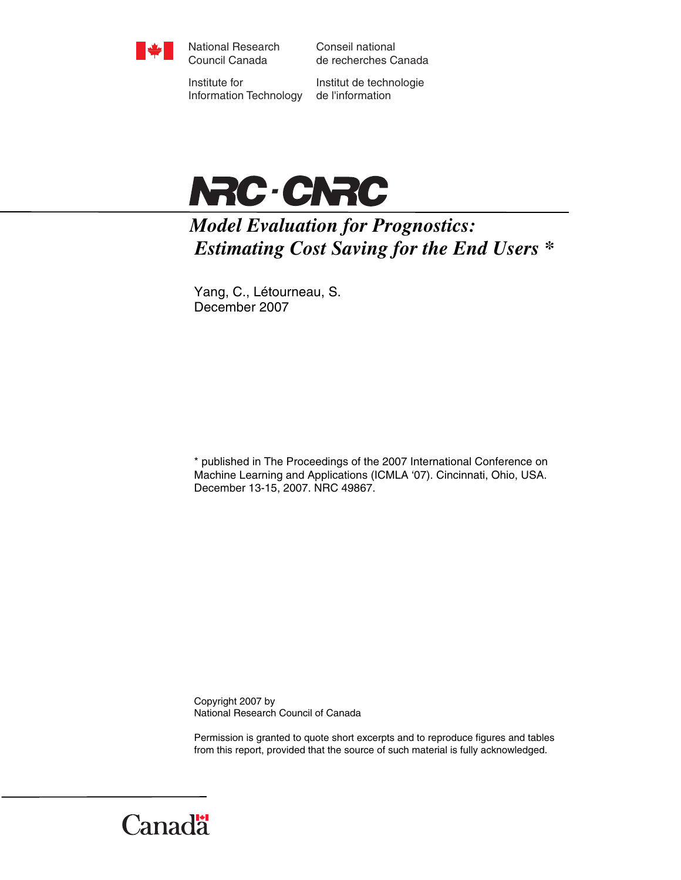

National Research Council Canada

Conseil national de recherches Canada

Institute for Information Technology

Institut de technologie de l'information



*Model Evaluation for Prognostics: Estimating Cost Saving for the End Users \** 

Yang, C., Létourneau, S. December 2007

\* published in The Proceedings of the 2007 International Conference on Machine Learning and Applications (ICMLA '07). Cincinnati, Ohio, USA. December 13-15, 2007. NRC 49867.

Copyright 2007 by National Research Council of Canada

Permission is granted to quote short excerpts and to reproduce figures and tables from this report, provided that the source of such material is fully acknowledged.

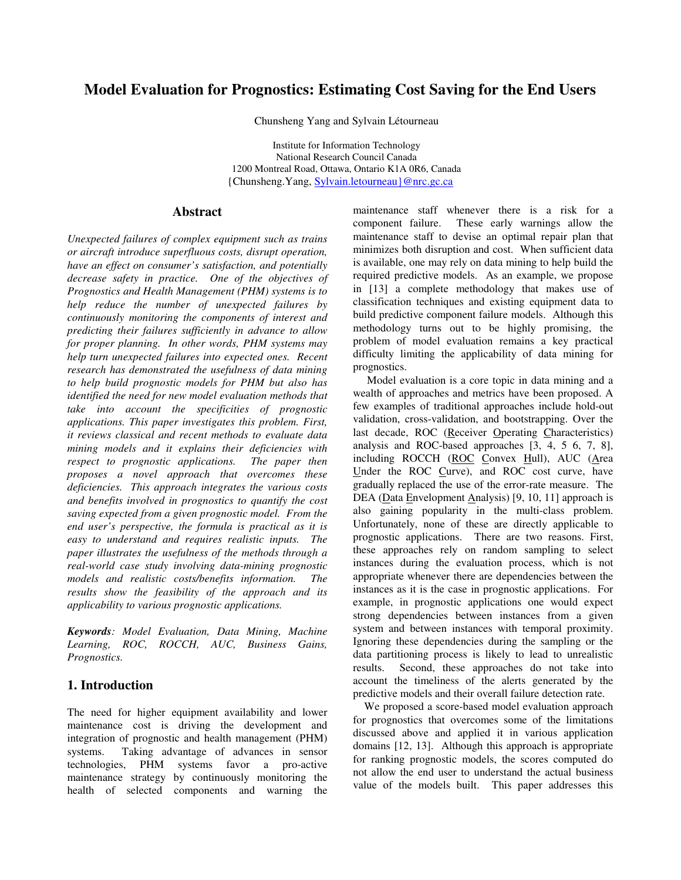## **Model Evaluation for Prognostics: Estimating Cost Saving for the End Users**

Chunsheng Yang and Sylvain Létourneau

Institute for Information Technology National Research Council Canada 1200 Montreal Road, Ottawa, Ontario K1A 0R6, Canada {Chunsheng.Yang, Sylvain.letourneau}@nrc.gc.ca

#### **Abstract**

*Unexpected failures of complex equipment such as trains or aircraft introduce superfluous costs, disrupt operation, have an effect on consumer's satisfaction, and potentially decrease safety in practice. One of the objectives of Prognostics and Health Management (PHM) systems is to help reduce the number of unexpected failures by continuously monitoring the components of interest and predicting their failures sufficiently in advance to allow for proper planning. In other words, PHM systems may help turn unexpected failures into expected ones. Recent research has demonstrated the usefulness of data mining to help build prognostic models for PHM but also has identified the need for new model evaluation methods that take into account the specificities of prognostic applications. This paper investigates this problem. First, it reviews classical and recent methods to evaluate data mining models and it explains their deficiencies with respect to prognostic applications. The paper then proposes a novel approach that overcomes these deficiencies. This approach integrates the various costs and benefits involved in prognostics to quantify the cost saving expected from a given prognostic model. From the end user's perspective, the formula is practical as it is easy to understand and requires realistic inputs. The paper illustrates the usefulness of the methods through a real-world case study involving data-mining prognostic models and realistic costs/benefits information. The results show the feasibility of the approach and its applicability to various prognostic applications.* 

*Keywords: Model Evaluation, Data Mining, Machine Learning, ROC, ROCCH, AUC, Business Gains, Prognostics.* 

## **1. Introduction**

The need for higher equipment availability and lower maintenance cost is driving the development and integration of prognostic and health management (PHM) systems. Taking advantage of advances in sensor technologies, PHM systems favor a pro-active maintenance strategy by continuously monitoring the health of selected components and warning the maintenance staff whenever there is a risk for a component failure. These early warnings allow the maintenance staff to devise an optimal repair plan that minimizes both disruption and cost. When sufficient data is available, one may rely on data mining to help build the required predictive models. As an example, we propose in [13] a complete methodology that makes use of classification techniques and existing equipment data to build predictive component failure models. Although this methodology turns out to be highly promising, the problem of model evaluation remains a key practical difficulty limiting the applicability of data mining for prognostics.

 Model evaluation is a core topic in data mining and a wealth of approaches and metrics have been proposed. A few examples of traditional approaches include hold-out validation, cross-validation, and bootstrapping. Over the last decade, ROC (Receiver Operating Characteristics) analysis and ROC-based approaches [3, 4, 5 6, 7, 8], including ROCCH (ROC Convex Hull), AUC (Area Under the ROC Curve), and ROC cost curve, have gradually replaced the use of the error-rate measure. The DEA (Data Envelopment Analysis) [9, 10, 11] approach is also gaining popularity in the multi-class problem. Unfortunately, none of these are directly applicable to prognostic applications. There are two reasons. First, these approaches rely on random sampling to select instances during the evaluation process, which is not appropriate whenever there are dependencies between the instances as it is the case in prognostic applications. For example, in prognostic applications one would expect strong dependencies between instances from a given system and between instances with temporal proximity. Ignoring these dependencies during the sampling or the data partitioning process is likely to lead to unrealistic results. Second, these approaches do not take into account the timeliness of the alerts generated by the predictive models and their overall failure detection rate.

 We proposed a score-based model evaluation approach for prognostics that overcomes some of the limitations discussed above and applied it in various application domains [12, 13]. Although this approach is appropriate for ranking prognostic models, the scores computed do not allow the end user to understand the actual business value of the models built. This paper addresses this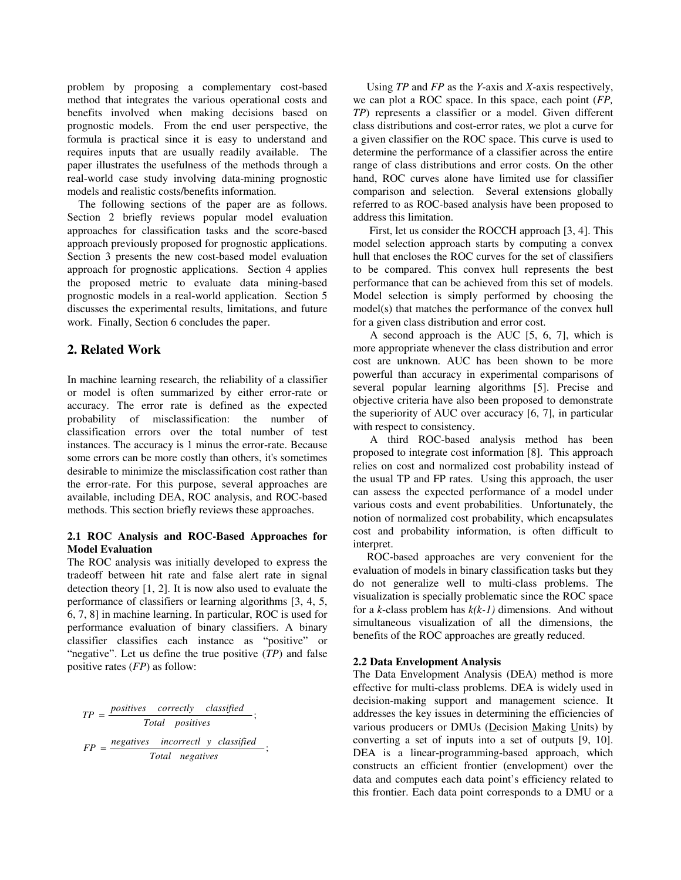problem by proposing a complementary cost-based method that integrates the various operational costs and benefits involved when making decisions based on prognostic models. From the end user perspective, the formula is practical since it is easy to understand and requires inputs that are usually readily available. The paper illustrates the usefulness of the methods through a real-world case study involving data-mining prognostic models and realistic costs/benefits information.

 The following sections of the paper are as follows. Section 2 briefly reviews popular model evaluation approaches for classification tasks and the score-based approach previously proposed for prognostic applications. Section 3 presents the new cost-based model evaluation approach for prognostic applications. Section 4 applies the proposed metric to evaluate data mining-based prognostic models in a real-world application. Section 5 discusses the experimental results, limitations, and future work. Finally, Section 6 concludes the paper.

## **2. Related Work**

In machine learning research, the reliability of a classifier or model is often summarized by either error-rate or accuracy. The error rate is defined as the expected probability of misclassification: the number of classification errors over the total number of test instances. The accuracy is 1 minus the error-rate. Because some errors can be more costly than others, it's sometimes desirable to minimize the misclassification cost rather than the error-rate. For this purpose, several approaches are available, including DEA, ROC analysis, and ROC-based methods. This section briefly reviews these approaches.

#### **2.1 ROC Analysis and ROC-Based Approaches for Model Evaluation**

The ROC analysis was initially developed to express the tradeoff between hit rate and false alert rate in signal detection theory [1, 2]. It is now also used to evaluate the performance of classifiers or learning algorithms [3, 4, 5, 6, 7, 8] in machine learning. In particular, ROC is used for performance evaluation of binary classifiers. A binary classifier classifies each instance as "positive" or "negative". Let us define the true positive (*TP*) and false positive rates (*FP*) as follow:

$$
TP = \frac{positives \quad correctly \quad classified}{Total \quad positives} ;
$$
  
\n
$$
FP = \frac{negatives \quad incorrectly \quad classified}{Total \quad negatives} ;
$$

Using *TP* and *FP* as the *Y*-axis and *X*-axis respectively, we can plot a ROC space. In this space, each point (*FP, TP*) represents a classifier or a model. Given different class distributions and cost-error rates, we plot a curve for a given classifier on the ROC space. This curve is used to determine the performance of a classifier across the entire range of class distributions and error costs. On the other hand, ROC curves alone have limited use for classifier comparison and selection. Several extensions globally referred to as ROC-based analysis have been proposed to address this limitation.

 First, let us consider the ROCCH approach [3, 4]. This model selection approach starts by computing a convex hull that encloses the ROC curves for the set of classifiers to be compared. This convex hull represents the best performance that can be achieved from this set of models. Model selection is simply performed by choosing the model(s) that matches the performance of the convex hull for a given class distribution and error cost.

 A second approach is the AUC [5, 6, 7], which is more appropriate whenever the class distribution and error cost are unknown. AUC has been shown to be more powerful than accuracy in experimental comparisons of several popular learning algorithms [5]. Precise and objective criteria have also been proposed to demonstrate the superiority of AUC over accuracy [6, 7], in particular with respect to consistency.

 A third ROC-based analysis method has been proposed to integrate cost information [8]. This approach relies on cost and normalized cost probability instead of the usual TP and FP rates. Using this approach, the user can assess the expected performance of a model under various costs and event probabilities. Unfortunately, the notion of normalized cost probability, which encapsulates cost and probability information, is often difficult to interpret.

 ROC-based approaches are very convenient for the evaluation of models in binary classification tasks but they do not generalize well to multi-class problems. The visualization is specially problematic since the ROC space for a *k*-class problem has *k(k-1)* dimensions. And without simultaneous visualization of all the dimensions, the benefits of the ROC approaches are greatly reduced.

#### **2.2 Data Envelopment Analysis**

The Data Envelopment Analysis (DEA) method is more effective for multi-class problems. DEA is widely used in decision-making support and management science. It addresses the key issues in determining the efficiencies of various producers or DMUs (Decision Making Units) by converting a set of inputs into a set of outputs [9, 10]. DEA is a linear-programming-based approach, which constructs an efficient frontier (envelopment) over the data and computes each data point's efficiency related to this frontier. Each data point corresponds to a DMU or a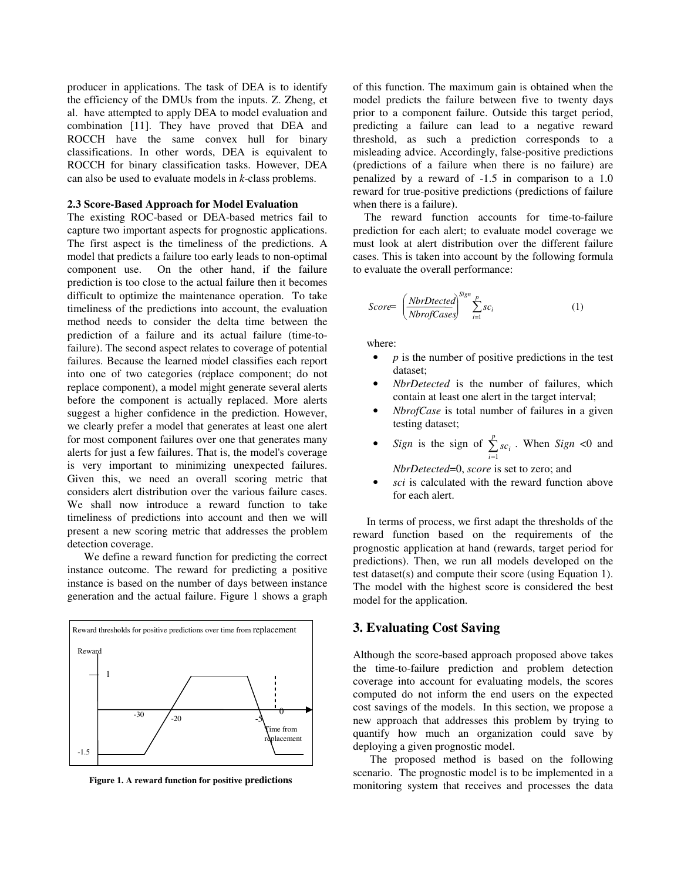producer in applications. The task of DEA is to identify the efficiency of the DMUs from the inputs. Z. Zheng, et al. have attempted to apply DEA to model evaluation and combination [11]. They have proved that DEA and ROCCH have the same convex hull for binary classifications. In other words, DEA is equivalent to ROCCH for binary classification tasks. However, DEA can also be used to evaluate models in *k*-class problems.

#### **2.3 Score-Based Approach for Model Evaluation**

The existing ROC-based or DEA-based metrics fail to capture two important aspects for prognostic applications. The first aspect is the timeliness of the predictions. A model that predicts a failure too early leads to non-optimal component use. On the other hand, if the failure prediction is too close to the actual failure then it becomes difficult to optimize the maintenance operation. To take timeliness of the predictions into account, the evaluation method needs to consider the delta time between the prediction of a failure and its actual failure (time-tofailure). The second aspect relates to coverage of potential failures. Because the learned model classifies each report into one of two categories (replace component; do not replace component), a model might generate several alerts before the component is actually replaced. More alerts suggest a higher confidence in the prediction. However, we clearly prefer a model that generates at least one alert for most component failures over one that generates many alerts for just a few failures. That is, the model's coverage is very important to minimizing unexpected failures. Given this, we need an overall scoring metric that considers alert distribution over the various failure cases. We shall now introduce a reward function to take timeliness of predictions into account and then we will present a new scoring metric that addresses the problem detection coverage.

 We define a reward function for predicting the correct instance outcome. The reward for predicting a positive instance is based on the number of days between instance generation and the actual failure. Figure 1 shows a graph



**Figure 1. A reward function for positive predictions**

of this function. The maximum gain is obtained when the model predicts the failure between five to twenty days prior to a component failure. Outside this target period, predicting a failure can lead to a negative reward threshold, as such a prediction corresponds to a misleading advice. Accordingly, false-positive predictions (predictions of a failure when there is no failure) are penalized by a reward of -1.5 in comparison to a 1.0 reward for true-positive predictions (predictions of failure when there is a failure).

 The reward function accounts for time-to-failure prediction for each alert; to evaluate model coverage we must look at alert distribution over the different failure cases. This is taken into account by the following formula to evaluate the overall performance:

$$
Score = \left(\frac{NbrDtected}{NbrofCases}\right)^{Sign} \sum_{i=1}^{p} sc_i
$$
 (1)

where:

- *p* is the number of positive predictions in the test dataset;
- *NbrDetected* is the number of failures, which contain at least one alert in the target interval;
- *NbrofCase* is total number of failures in a given testing dataset;
- *Sign* is the sign of  $\sum_{i=1}^{p}$ *p*  $\sum_{i=1}$  *sc*<sub>*i*</sub> 1 . When *Sign* <0 and

*NbrDetected*=0, *score* is set to zero; and

• *sci* is calculated with the reward function above for each alert.

In terms of process, we first adapt the thresholds of the reward function based on the requirements of the prognostic application at hand (rewards, target period for predictions). Then, we run all models developed on the test dataset(s) and compute their score (using Equation 1). The model with the highest score is considered the best model for the application.

## **3. Evaluating Cost Saving**

Although the score-based approach proposed above takes the time-to-failure prediction and problem detection coverage into account for evaluating models, the scores computed do not inform the end users on the expected cost savings of the models. In this section, we propose a new approach that addresses this problem by trying to quantify how much an organization could save by deploying a given prognostic model.

 The proposed method is based on the following scenario. The prognostic model is to be implemented in a monitoring system that receives and processes the data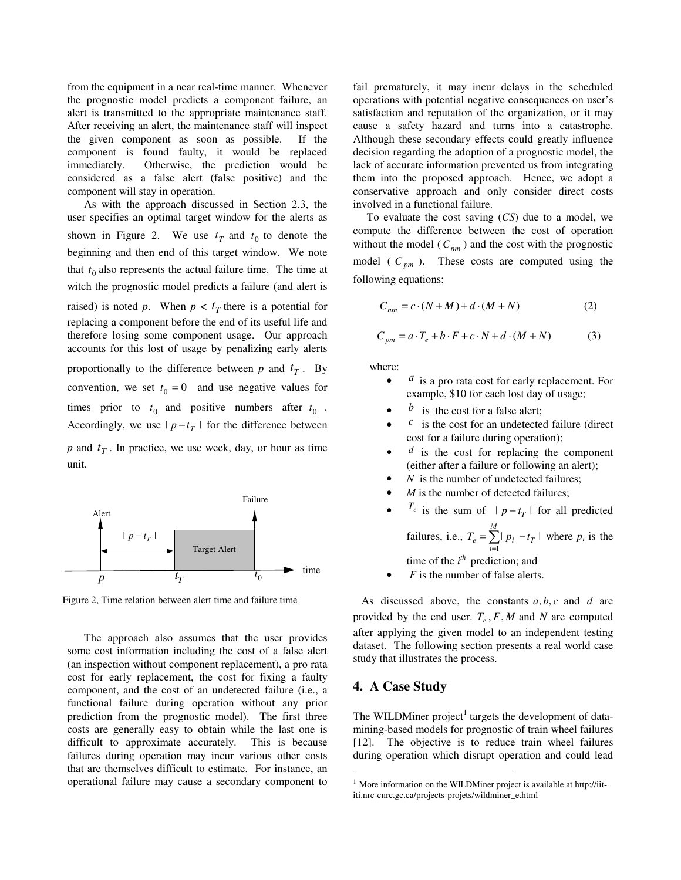from the equipment in a near real-time manner. Whenever the prognostic model predicts a component failure, an alert is transmitted to the appropriate maintenance staff. After receiving an alert, the maintenance staff will inspect the given component as soon as possible. If the component is found faulty, it would be replaced immediately. Otherwise, the prediction would be considered as a false alert (false positive) and the component will stay in operation.

 As with the approach discussed in Section 2.3, the user specifies an optimal target window for the alerts as shown in Figure 2. We use  $t_T$  and  $t_0$  to denote the beginning and then end of this target window. We note that  $t_0$  also represents the actual failure time. The time at witch the prognostic model predicts a failure (and alert is raised) is noted *p*. When  $p < t<sub>T</sub>$  there is a potential for replacing a component before the end of its useful life and therefore losing some component usage. Our approach accounts for this lost of usage by penalizing early alerts proportionally to the difference between  $p$  and  $t<sub>T</sub>$ . By convention, we set  $t_0 = 0$  and use negative values for times prior to  $t_0$  and positive numbers after  $t_0$ . Accordingly, we use  $|p - t_T|$  for the difference between

 $p$  and  $t_T$ . In practice, we use week, day, or hour as time unit.



Figure 2, Time relation between alert time and failure time

 The approach also assumes that the user provides some cost information including the cost of a false alert (an inspection without component replacement), a pro rata cost for early replacement, the cost for fixing a faulty component, and the cost of an undetected failure (i.e., a functional failure during operation without any prior prediction from the prognostic model). The first three costs are generally easy to obtain while the last one is difficult to approximate accurately. This is because failures during operation may incur various other costs that are themselves difficult to estimate. For instance, an operational failure may cause a secondary component to

fail prematurely, it may incur delays in the scheduled operations with potential negative consequences on user's satisfaction and reputation of the organization, or it may cause a safety hazard and turns into a catastrophe. Although these secondary effects could greatly influence decision regarding the adoption of a prognostic model, the lack of accurate information prevented us from integrating them into the proposed approach. Hence, we adopt a conservative approach and only consider direct costs involved in a functional failure.

To evaluate the cost saving (*CS*) due to a model, we compute the difference between the cost of operation without the model ( $C_{nm}$ ) and the cost with the prognostic model ( $C_{pm}$ ). These costs are computed using the following equations:

$$
C_{nm} = c \cdot (N + M) + d \cdot (M + N) \tag{2}
$$

$$
C_{pm} = a \cdot T_e + b \cdot F + c \cdot N + d \cdot (M + N)
$$
 (3)

where:

- *a* is a pro rata cost for early replacement. For example, \$10 for each lost day of usage;
- *b* is the cost for a false alert;
- $c$  is the cost for an undetected failure (direct cost for a failure during operation);
- *d* is the cost for replacing the component (either after a failure or following an alert);
- $N$  is the number of undetected failures;
- *M* is the number of detected failures:
- $T_e$  is the sum of  $|p - t_T|$  for all predicted failures, i.e.,  $T_e = \sum_{i=1}^{16}$  $=\sum_{m=1}^{M}$  *p*  $T_e = \sum_{i=1}^{ } \mid p_i - t_T \mid$  $| p_i - t_T |$  where  $p_i$  is the time of the  $i^{th}$  prediction; and
- *F* is the number of false alerts.

As discussed above, the constants  $a, b, c$  and  $d$  are provided by the end user.  $T_e$ ,  $F$ ,  $M$  and  $N$  are computed after applying the given model to an independent testing dataset. The following section presents a real world case study that illustrates the process.

#### **4. A Case Study**

 $\overline{a}$ 

The WILDMiner project<sup>1</sup> targets the development of datamining-based models for prognostic of train wheel failures [12]. The objective is to reduce train wheel failures during operation which disrupt operation and could lead

 $1$  More information on the WILDMiner project is available at http://iititi.nrc-cnrc.gc.ca/projects-projets/wildminer\_e.html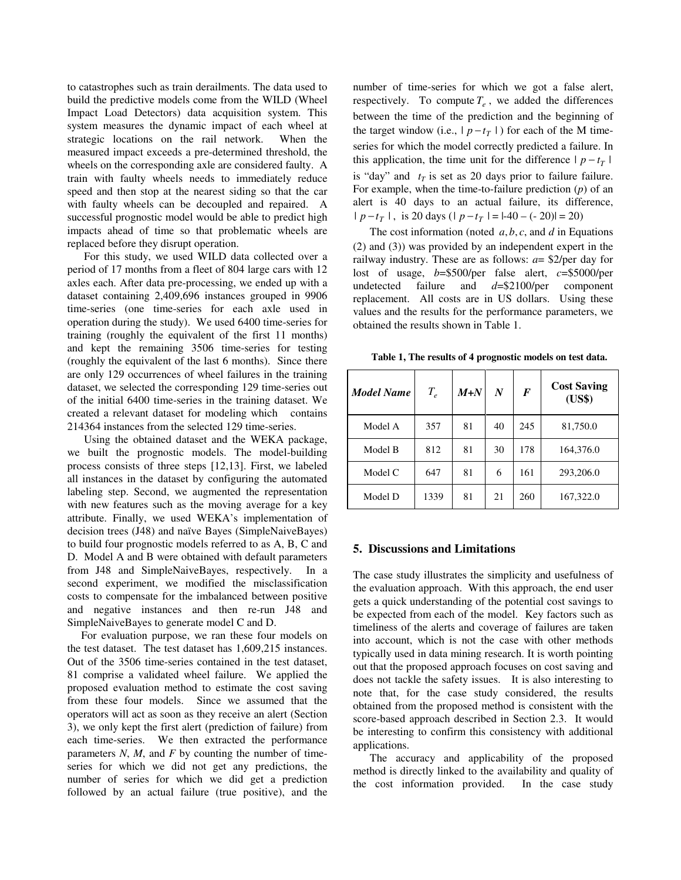to catastrophes such as train derailments. The data used to build the predictive models come from the WILD (Wheel Impact Load Detectors) data acquisition system. This system measures the dynamic impact of each wheel at strategic locations on the rail network. When the measured impact exceeds a pre-determined threshold, the wheels on the corresponding axle are considered faulty. A train with faulty wheels needs to immediately reduce speed and then stop at the nearest siding so that the car with faulty wheels can be decoupled and repaired. A successful prognostic model would be able to predict high impacts ahead of time so that problematic wheels are replaced before they disrupt operation.

 For this study, we used WILD data collected over a period of 17 months from a fleet of 804 large cars with 12 axles each. After data pre-processing, we ended up with a dataset containing 2,409,696 instances grouped in 9906 time-series (one time-series for each axle used in operation during the study). We used 6400 time-series for training (roughly the equivalent of the first 11 months) and kept the remaining 3506 time-series for testing (roughly the equivalent of the last 6 months). Since there are only 129 occurrences of wheel failures in the training dataset, we selected the corresponding 129 time-series out of the initial 6400 time-series in the training dataset. We created a relevant dataset for modeling which contains 214364 instances from the selected 129 time-series.

 Using the obtained dataset and the WEKA package, we built the prognostic models. The model-building process consists of three steps [12,13]. First, we labeled all instances in the dataset by configuring the automated labeling step. Second, we augmented the representation with new features such as the moving average for a key attribute. Finally, we used WEKA's implementation of decision trees (J48) and naïve Bayes (SimpleNaiveBayes) to build four prognostic models referred to as A, B, C and D. Model A and B were obtained with default parameters from J48 and SimpleNaiveBayes, respectively. In a second experiment, we modified the misclassification costs to compensate for the imbalanced between positive and negative instances and then re-run J48 and SimpleNaiveBayes to generate model C and D.

 For evaluation purpose, we ran these four models on the test dataset. The test dataset has 1,609,215 instances. Out of the 3506 time-series contained in the test dataset, 81 comprise a validated wheel failure. We applied the proposed evaluation method to estimate the cost saving from these four models. Since we assumed that the operators will act as soon as they receive an alert (Section 3), we only kept the first alert (prediction of failure) from each time-series. We then extracted the performance parameters *N*, *M*, and *F* by counting the number of timeseries for which we did not get any predictions, the number of series for which we did get a prediction followed by an actual failure (true positive), and the

number of time-series for which we got a false alert, respectively. To compute  $T_e$ , we added the differences between the time of the prediction and the beginning of the target window (i.e.,  $|p - t_T|$ ) for each of the M timeseries for which the model correctly predicted a failure. In this application, the time unit for the difference  $|p - t_T|$ is "day" and  $t_T$  is set as 20 days prior to failure failure. For example, when the time-to-failure prediction (*p*) of an alert is 40 days to an actual failure, its difference,  $|p - t_T|$ , is 20 days  $(|p - t_T| = |-40 - (-20)| = 20)$ 

The cost information (noted  $a, b, c$ , and  $d$  in Equations (2) and (3)) was provided by an independent expert in the railway industry. These are as follows:  $a = \frac{2}{\pi}$  day for lost of usage, *b*=\$500/per false alert, *c*=\$5000/per undetected failure and *d*=\$2100/per component replacement. All costs are in US dollars. Using these values and the results for the performance parameters, we obtained the results shown in Table 1.

**Table 1, The results of 4 prognostic models on test data.** 

| <b>Model Name</b> | $T_e$ | $M+N$ | N  | F   | <b>Cost Saving</b><br>(US\$) |
|-------------------|-------|-------|----|-----|------------------------------|
| Model A           | 357   | 81    | 40 | 245 | 81,750.0                     |
| Model B           | 812   | 81    | 30 | 178 | 164,376.0                    |
| Model C           | 647   | 81    | 6  | 161 | 293,206.0                    |
| Model D           | 1339  | 81    | 21 | 260 | 167,322.0                    |

#### **5. Discussions and Limitations**

The case study illustrates the simplicity and usefulness of the evaluation approach. With this approach, the end user gets a quick understanding of the potential cost savings to be expected from each of the model. Key factors such as timeliness of the alerts and coverage of failures are taken into account, which is not the case with other methods typically used in data mining research. It is worth pointing out that the proposed approach focuses on cost saving and does not tackle the safety issues. It is also interesting to note that, for the case study considered, the results obtained from the proposed method is consistent with the score-based approach described in Section 2.3. It would be interesting to confirm this consistency with additional applications.

 The accuracy and applicability of the proposed method is directly linked to the availability and quality of the cost information provided. In the case study